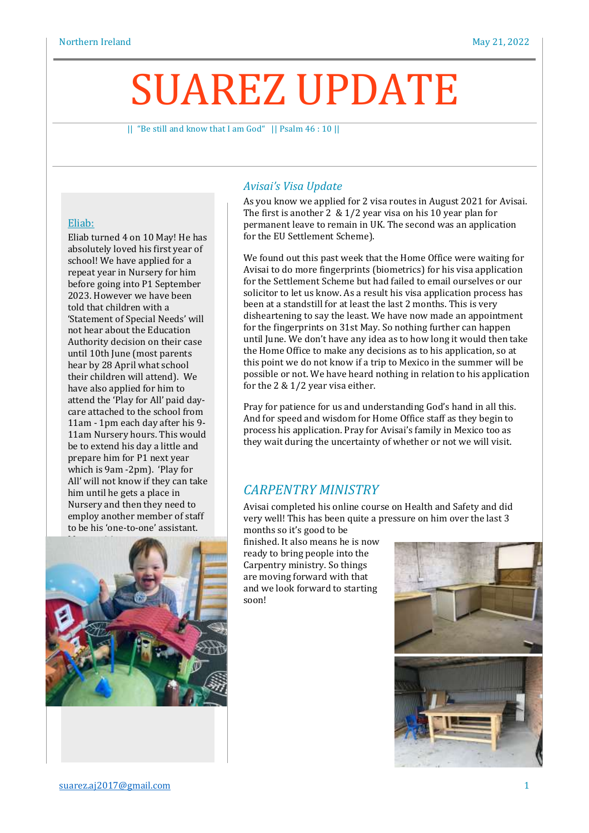# SUAREZ UPDATE

|| "Be still and know that I am God" || Psalm 46 : 10 ||

#### Eliab:

Eliab turned 4 on 10 May! He has absolutely loved his first year of school! We have applied for a repeat year in Nursery for him before going into P1 September 2023. However we have been told that children with a 'Statement of Special Needs' will not hear about the Education Authority decision on their case until 10th June (most parents hear by 28 April what school their children will attend). We have also applied for him to attend the 'Play for All' paid daycare attached to the school from 11am - 1pm each day after his 9- 11am Nursery hours. This would be to extend his day a little and prepare him for P1 next year which is 9am -2pm). 'Play for All' will not know if they can take him until he gets a place in Nursery and then they need to employ another member of staff to be his 'one-to-one' assistant.



### *Avisai's Visa Update*

As you know we applied for 2 visa routes in August 2021 for Avisai. The first is another 2 & 1/2 year visa on his 10 year plan for permanent leave to remain in UK. The second was an application for the EU Settlement Scheme).

We found out this past week that the Home Office were waiting for Avisai to do more fingerprints (biometrics) for his visa application for the Settlement Scheme but had failed to email ourselves or our solicitor to let us know. As a result his visa application process has been at a standstill for at least the last 2 months. This is very disheartening to say the least. We have now made an appointment for the fingerprints on 31st May. So nothing further can happen until June. We don't have any idea as to how long it would then take the Home Office to make any decisions as to his application, so at this point we do not know if a trip to Mexico in the summer will be possible or not. We have heard nothing in relation to his application for the 2 & 1/2 year visa either.

Pray for patience for us and understanding God's hand in all this. And for speed and wisdom for Home Office staff as they begin to process his application. Pray for Avisai's family in Mexico too as they wait during the uncertainty of whether or not we will visit.

# *CARPENTRY MINISTRY*

Avisai completed his online course on Health and Safety and did very well! This has been quite a pressure on him over the last 3 months so it's good to be

finished. It also means he is now ready to bring people into the Carpentry ministry. So things are moving forward with that and we look forward to starting soon!